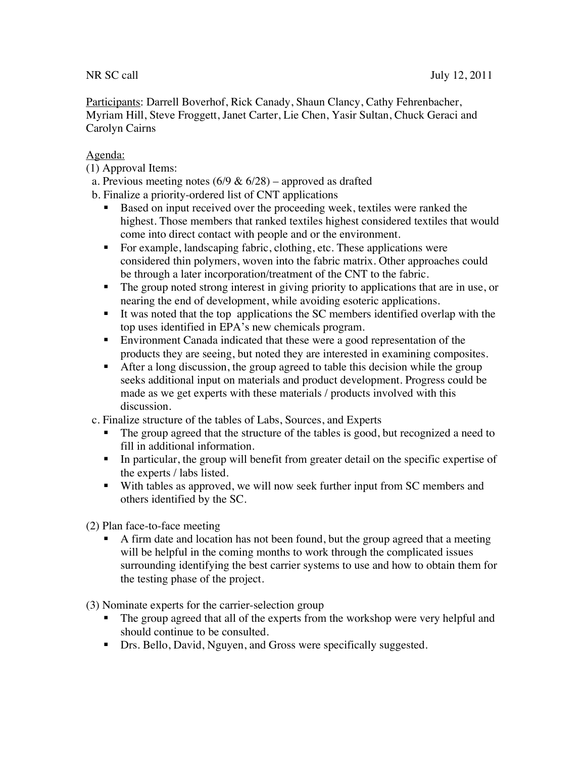Participants: Darrell Boverhof, Rick Canady, Shaun Clancy, Cathy Fehrenbacher, Myriam Hill, Steve Froggett, Janet Carter, Lie Chen, Yasir Sultan, Chuck Geraci and Carolyn Cairns

## Agenda:

- (1) Approval Items:
- a. Previous meeting notes (6/9 & 6/28) approved as drafted
- b. Finalize a priority-ordered list of CNT applications
	- Based on input received over the proceeding week, textiles were ranked the highest. Those members that ranked textiles highest considered textiles that would come into direct contact with people and or the environment.
	- For example, landscaping fabric, clothing, etc. These applications were considered thin polymers, woven into the fabric matrix. Other approaches could be through a later incorporation/treatment of the CNT to the fabric.
	- The group noted strong interest in giving priority to applications that are in use, or nearing the end of development, while avoiding esoteric applications.
	- It was noted that the top applications the SC members identified overlap with the top uses identified in EPA's new chemicals program.
	- Environment Canada indicated that these were a good representation of the products they are seeing, but noted they are interested in examining composites.
	- After a long discussion, the group agreed to table this decision while the group seeks additional input on materials and product development. Progress could be made as we get experts with these materials / products involved with this discussion.
- c. Finalize structure of the tables of Labs, Sources, and Experts
	- The group agreed that the structure of the tables is good, but recognized a need to fill in additional information.
	- In particular, the group will benefit from greater detail on the specific expertise of the experts / labs listed.
	- With tables as approved, we will now seek further input from SC members and others identified by the SC.

(2) Plan face-to-face meeting

 A firm date and location has not been found, but the group agreed that a meeting will be helpful in the coming months to work through the complicated issues surrounding identifying the best carrier systems to use and how to obtain them for the testing phase of the project.

(3) Nominate experts for the carrier-selection group

- The group agreed that all of the experts from the workshop were very helpful and should continue to be consulted.
- **Drs. Bello, David, Nguyen, and Gross were specifically suggested.**